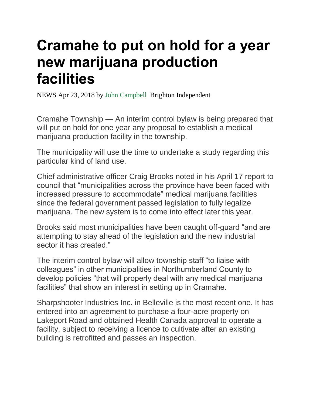## **Cramahe to put on hold for a year new marijuana production facilities**

NEWS Apr 23, 2018 by [John Campbell](https://www.northumberlandnews.com/northumberlandcounty-author/john-campbell/57D580A4-6843-47EC-958E-21C32FC1BB6A/) Brighton Independent

Cramahe Township — An interim control bylaw is being prepared that will put on hold for one year any proposal to establish a medical marijuana production facility in the township.

The municipality will use the time to undertake a study regarding this particular kind of land use.

Chief administrative officer Craig Brooks noted in his April 17 report to council that "municipalities across the province have been faced with increased pressure to accommodate" medical marijuana facilities since the federal government passed legislation to fully legalize marijuana. The new system is to come into effect later this year.

Brooks said most municipalities have been caught off-guard "and are attempting to stay ahead of the legislation and the new industrial sector it has created."

The interim control bylaw will allow township staff "to liaise with colleagues" in other municipalities in Northumberland County to develop policies "that will properly deal with any medical marijuana facilities" that show an interest in setting up in Cramahe.

Sharpshooter Industries Inc. in Belleville is the most recent one. It has entered into an agreement to purchase a four-acre property on Lakeport Road and obtained Health Canada approval to operate a facility, subject to receiving a licence to cultivate after an existing building is retrofitted and passes an inspection.